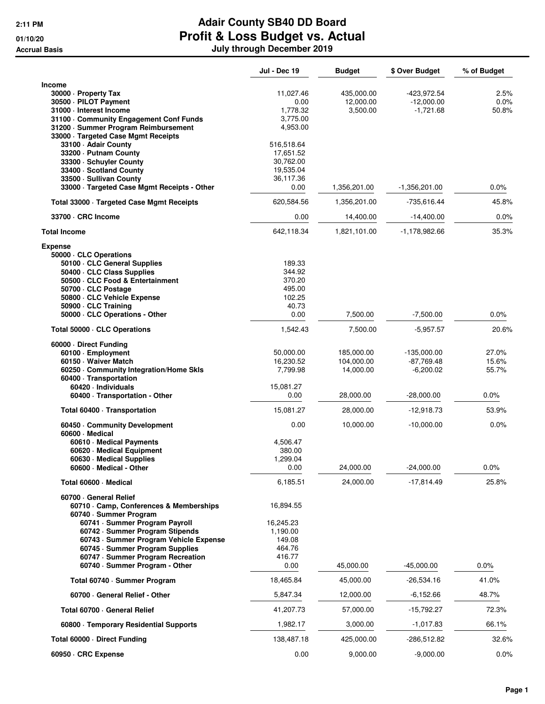|                                                                                                                                                                                                                                                                                                                  | <b>Jul - Dec 19</b>                                                      | <b>Budget</b>                         | \$ Over Budget                               | % of Budget             |
|------------------------------------------------------------------------------------------------------------------------------------------------------------------------------------------------------------------------------------------------------------------------------------------------------------------|--------------------------------------------------------------------------|---------------------------------------|----------------------------------------------|-------------------------|
| <b>Income</b><br>30000 · Property Tax<br>30500 · PILOT Payment<br>31000 - Interest Income<br>31100 Community Engagement Conf Funds<br>31200 · Summer Program Reimbursement                                                                                                                                       | 11,027.46<br>0.00<br>1,778.32<br>3.775.00<br>4,953.00                    | 435,000.00<br>12,000.00<br>3,500.00   | -423,972.54<br>$-12,000.00$<br>$-1,721.68$   | 2.5%<br>0.0%<br>50.8%   |
| 33000 · Targeted Case Mgmt Receipts<br>33100 - Adair County<br>33200 - Putnam County<br>33300 · Schuyler County<br>33400 · Scotland County<br>33500 - Sullivan County<br>33000 · Targeted Case Mgmt Receipts - Other                                                                                             | 516,518.64<br>17,651.52<br>30,762.00<br>19,535.04<br>36,117.36<br>0.00   | 1,356,201.00                          | $-1,356,201.00$                              | 0.0%                    |
| Total 33000 · Targeted Case Mgmt Receipts                                                                                                                                                                                                                                                                        | 620,584.56                                                               | 1,356,201.00                          | -735,616.44                                  | 45.8%                   |
| 33700 · CRC Income                                                                                                                                                                                                                                                                                               | 0.00                                                                     | 14,400.00                             | $-14,400.00$                                 | $0.0\%$                 |
| <b>Total Income</b>                                                                                                                                                                                                                                                                                              | 642,118.34                                                               | 1,821,101.00                          | -1,178,982.66                                | 35.3%                   |
| <b>Expense</b><br>50000 · CLC Operations<br>50100 · CLC General Supplies<br>50400 · CLC Class Supplies<br>50500 · CLC Food & Entertainment<br>50700 - CLC Postage<br>50800 · CLC Vehicle Expense<br>50900 · CLC Training<br>50000 · CLC Operations - Other                                                       | 189.33<br>344.92<br>370.20<br>495.00<br>102.25<br>40.73<br>0.00          | 7,500.00                              |                                              |                         |
|                                                                                                                                                                                                                                                                                                                  |                                                                          |                                       | -7,500.00                                    | $0.0\%$                 |
| Total 50000 · CLC Operations                                                                                                                                                                                                                                                                                     | 1,542.43                                                                 | 7,500.00                              | $-5,957.57$                                  | 20.6%                   |
| 60000 Direct Funding<br>60100 · Employment<br>60150 Waiver Match<br>60250 Community Integration/Home Skls<br>60400 · Transportation<br>60420 · Individuals                                                                                                                                                       | 50,000.00<br>16,230.52<br>7,799.98<br>15,081.27                          | 185,000.00<br>104,000.00<br>14,000.00 | $-135,000.00$<br>$-87,769.48$<br>$-6,200.02$ | 27.0%<br>15.6%<br>55.7% |
| 60400 · Transportation - Other                                                                                                                                                                                                                                                                                   | 0.00                                                                     | 28,000.00                             | $-28,000.00$                                 | 0.0%                    |
| Total 60400 · Transportation                                                                                                                                                                                                                                                                                     | 15,081.27                                                                | 28,000.00                             | -12,918.73                                   | 53.9%                   |
| 60450 Community Development                                                                                                                                                                                                                                                                                      | 0.00                                                                     | 10,000.00                             | $-10,000.00$                                 | 0.0%                    |
| 60600 Medical<br>60610 · Medical Payments<br>60620 · Medical Equipment<br>60630 · Medical Supplies<br>60600 · Medical - Other                                                                                                                                                                                    | 4,506.47<br>380.00<br>1,299.04<br>0.00                                   | 24,000.00                             | $-24,000.00$                                 | $0.0\%$                 |
| Total 60600 · Medical                                                                                                                                                                                                                                                                                            | 6,185.51                                                                 | 24,000.00                             | $-17,814.49$                                 | 25.8%                   |
| 60700 General Relief<br>60710 Camp, Conferences & Memberships<br>60740 · Summer Program<br>60741 · Summer Program Payroll<br>60742 · Summer Program Stipends<br>60743 · Summer Program Vehicle Expense<br>60745 · Summer Program Supplies<br>60747 · Summer Program Recreation<br>60740 · Summer Program - Other | 16,894.55<br>16,245.23<br>1,190.00<br>149.08<br>464.76<br>416.77<br>0.00 | 45,000.00                             | $-45,000.00$                                 | 0.0%                    |
| Total 60740 · Summer Program                                                                                                                                                                                                                                                                                     | 18,465.84                                                                | 45,000.00                             | -26,534.16                                   | 41.0%                   |
| 60700 General Relief - Other                                                                                                                                                                                                                                                                                     | 5,847.34                                                                 | 12,000.00                             | -6,152.66                                    | 48.7%                   |
| Total 60700 · General Relief                                                                                                                                                                                                                                                                                     | 41,207.73                                                                | 57,000.00                             | $-15,792.27$                                 | 72.3%                   |
| 60800 · Temporary Residential Supports                                                                                                                                                                                                                                                                           | 1,982.17                                                                 | 3,000.00                              | $-1,017.83$                                  | 66.1%                   |
| Total 60000 · Direct Funding                                                                                                                                                                                                                                                                                     | 138,487.18                                                               | 425,000.00                            | -286,512.82                                  | 32.6%                   |
| 60950 · CRC Expense                                                                                                                                                                                                                                                                                              | 0.00                                                                     | 9,000.00                              | $-9,000.00$                                  | $0.0\%$                 |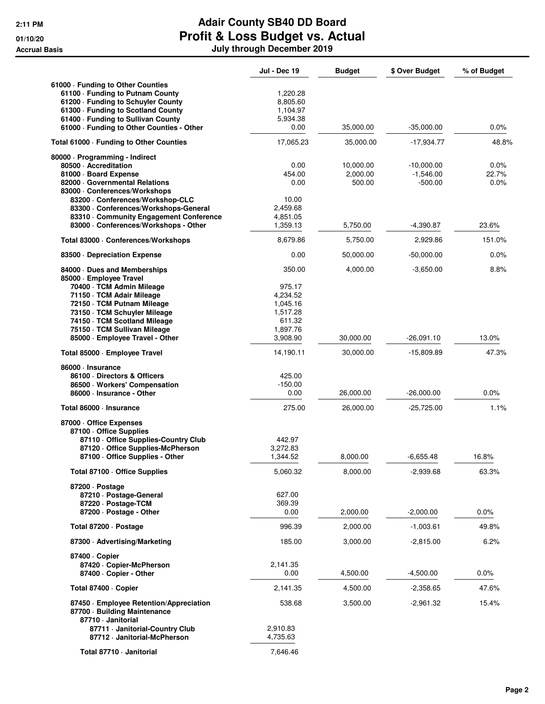|                                                                                 | <b>Jul - Dec 19</b>  | <b>Budget</b> | \$ Over Budget | % of Budget |
|---------------------------------------------------------------------------------|----------------------|---------------|----------------|-------------|
| 61000 · Funding to Other Counties                                               |                      |               |                |             |
| 61100 - Funding to Putnam County                                                | 1,220.28             |               |                |             |
| 61200 - Funding to Schuyler County                                              | 8,805.60             |               |                |             |
| 61300 · Funding to Scotland County                                              | 1,104.97             |               |                |             |
| 61400 - Funding to Sullivan County<br>61000 - Funding to Other Counties - Other | 5,934.38<br>0.00     | 35,000.00     | $-35,000.00$   | $0.0\%$     |
| Total 61000 - Funding to Other Counties                                         | 17,065.23            | 35,000.00     | -17,934.77     | 48.8%       |
| 80000 · Programming - Indirect                                                  |                      |               |                |             |
| 80500 · Accreditation                                                           | 0.00                 | 10,000.00     | -10,000.00     | 0.0%        |
| 81000 · Board Expense                                                           | 454.00               | 2,000.00      | $-1,546.00$    | 22.7%       |
| 82000 Governmental Relations                                                    | 0.00                 | 500.00        | $-500.00$      | 0.0%        |
| 83000 · Conferences/Workshops                                                   |                      |               |                |             |
| 83200 · Conferences/Workshop-CLC<br>83300 · Conferences/Workshops-General       | 10.00<br>2,459.68    |               |                |             |
| 83310 Community Engagement Conference                                           | 4,851.05             |               |                |             |
| 83000 · Conferences/Workshops - Other                                           | 1,359.13             | 5,750.00      | $-4,390.87$    | 23.6%       |
| Total 83000 · Conferences/Workshops                                             | 8,679.86             | 5,750.00      | 2,929.86       | 151.0%      |
| 83500 Depreciation Expense                                                      | 0.00                 | 50,000.00     | $-50,000.00$   | 0.0%        |
| 84000 Dues and Memberships                                                      | 350.00               | 4,000.00      | $-3,650.00$    | 8.8%        |
| 85000 · Employee Travel                                                         |                      |               |                |             |
| 70400 · TCM Admin Mileage                                                       | 975.17               |               |                |             |
| 71150 · TCM Adair Mileage                                                       | 4,234.52             |               |                |             |
| 72150 · TCM Putnam Mileage<br>73150 · TCM Schuyler Mileage                      | 1,045.16<br>1,517.28 |               |                |             |
| 74150 · TCM Scotland Mileage                                                    | 611.32               |               |                |             |
| 75150 · TCM Sullivan Mileage                                                    | 1,897.76             |               |                |             |
| 85000 · Employee Travel - Other                                                 | 3,908.90             | 30,000.00     | $-26,091.10$   | 13.0%       |
| Total 85000 · Employee Travel                                                   | 14,190.11            | 30,000.00     | -15,809.89     | 47.3%       |
| 86000 · Insurance                                                               |                      |               |                |             |
| 86100 · Directors & Officers                                                    | 425.00               |               |                |             |
| 86500 · Workers' Compensation                                                   | $-150.00$            |               |                |             |
| 86000 · Insurance - Other                                                       | 0.00                 | 26,000.00     | $-26,000.00$   | 0.0%        |
| Total 86000 · Insurance                                                         | 275.00               | 26,000.00     | $-25,725.00$   | 1.1%        |
| 87000 Office Expenses                                                           |                      |               |                |             |
| 87100 Office Supplies<br>87110 - Office Supplies-Country Club                   | 442.97               |               |                |             |
| 87120 Office Supplies-McPherson                                                 | 3,272.83             |               |                |             |
| 87100 - Office Supplies - Other                                                 | 1,344.52             | 8,000.00      | $-6,655.48$    | 16.8%       |
| Total 87100 · Office Supplies                                                   | 5,060.32             | 8,000.00      | $-2,939.68$    | 63.3%       |
|                                                                                 |                      |               |                |             |
| 87200 Dostage                                                                   | 627.00               |               |                |             |
| 87210 · Postage-General<br>87220 · Postage-TCM                                  | 369.39               |               |                |             |
| 87200 · Postage - Other                                                         | 0.00                 | 2,000.00      | $-2,000.00$    | 0.0%        |
| Total 87200 · Postage                                                           | 996.39               | 2,000.00      | $-1,003.61$    | 49.8%       |
| 87300 Advertising/Marketing                                                     | 185.00               | 3,000.00      | -2,815.00      | 6.2%        |
| 87400 · Copier                                                                  |                      |               |                |             |
| 87420 · Copier-McPherson                                                        | 2,141.35             |               |                |             |
| 87400 · Copier - Other                                                          | 0.00                 | 4,500.00      | $-4,500.00$    | $0.0\%$     |
| Total 87400 · Copier                                                            | 2,141.35             | 4,500.00      | -2,358.65      | 47.6%       |
| 87450 · Employee Retention/Appreciation                                         | 538.68               | 3,500.00      | $-2,961.32$    | 15.4%       |
| 87700 · Building Maintenance                                                    |                      |               |                |             |
| 87710 · Janitorial                                                              |                      |               |                |             |
| 87711 · Janitorial-Country Club<br>87712 · Janitorial-McPherson                 | 2,910.83<br>4,735.63 |               |                |             |
| Total 87710 - Janitorial                                                        | 7,646.46             |               |                |             |
|                                                                                 |                      |               |                |             |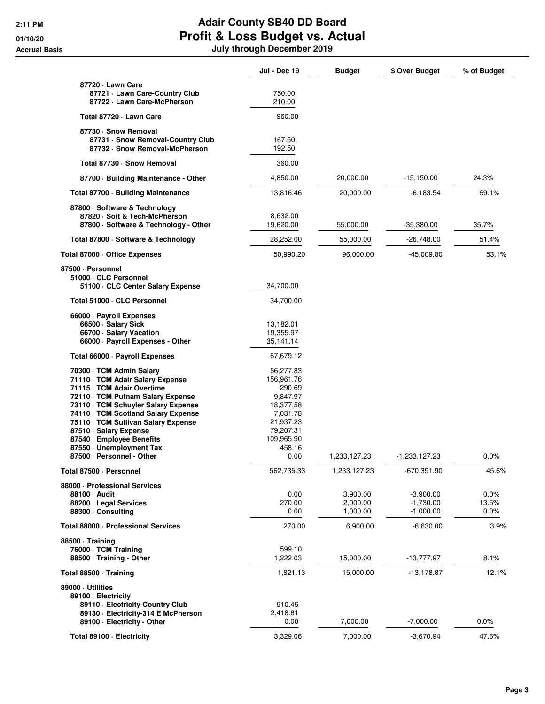|                                                                                                         | <b>Jul - Dec 19</b>     | <b>Budget</b> | \$ Over Budget | % of Budget |
|---------------------------------------------------------------------------------------------------------|-------------------------|---------------|----------------|-------------|
| 87720 - Lawn Care                                                                                       |                         |               |                |             |
| 87721 - Lawn Care-Country Club<br>87722 · Lawn Care-McPherson                                           | 750.00<br>210.00        |               |                |             |
| Total 87720 - Lawn Care                                                                                 | 960.00                  |               |                |             |
| 87730 · Snow Removal                                                                                    |                         |               |                |             |
| 87731 · Snow Removal-Country Club<br>87732 · Snow Removal-McPherson                                     | 167.50<br>192.50        |               |                |             |
| Total 87730 · Snow Removal                                                                              | 360.00                  |               |                |             |
| 87700 Building Maintenance - Other                                                                      | 4,850.00                | 20,000.00     | $-15,150.00$   | 24.3%       |
| Total 87700 · Building Maintenance                                                                      | 13,816.46               | 20,000.00     | -6,183.54      | 69.1%       |
| 87800 · Software & Technology<br>87820 · Soft & Tech-McPherson<br>87800 · Software & Technology - Other | 8,632.00<br>19,620.00   | 55,000.00     | -35,380.00     | 35.7%       |
| Total 87800 · Software & Technology                                                                     | 28,252.00               | 55,000.00     | $-26,748.00$   | 51.4%       |
| Total 87000 · Office Expenses                                                                           | 50,990.20               | 96,000.00     | $-45,009.80$   | 53.1%       |
| 87500 · Personnel                                                                                       |                         |               |                |             |
| 51000 · CLC Personnel<br>51100 · CLC Center Salary Expense                                              | 34,700.00               |               |                |             |
| Total 51000 · CLC Personnel                                                                             | 34,700.00               |               |                |             |
| 66000 · Payroll Expenses                                                                                |                         |               |                |             |
| 66500 · Salary Sick                                                                                     | 13,182.01               |               |                |             |
| 66700 · Salary Vacation<br>66000 · Payroll Expenses - Other                                             | 19,355.97<br>35,141.14  |               |                |             |
|                                                                                                         |                         |               |                |             |
| Total 66000 · Payroll Expenses                                                                          | 67,679.12               |               |                |             |
| 70300 · TCM Admin Salary<br>71110 · TCM Adair Salary Expense                                            | 56,277.83<br>156,961.76 |               |                |             |
| 71115 · TCM Adair Overtime                                                                              | 290.69                  |               |                |             |
| 72110 · TCM Putnam Salary Expense                                                                       | 9,847.97                |               |                |             |
| 73110 · TCM Schuyler Salary Expense                                                                     | 18,377.58               |               |                |             |
| 74110 · TCM Scotland Salary Expense<br>75110 · TCM Sullivan Salary Expense                              | 7,031.78<br>21,937.23   |               |                |             |
| 87510 · Salary Expense                                                                                  | 79,207.31               |               |                |             |
| 87540 · Employee Benefits                                                                               | 109,965.90              |               |                |             |
| 87550 · Unemployment Tax<br>87500 · Personnel - Other                                                   | 458.16<br>0.00          | 1,233,127.23  | -1,233,127.23  | 0.0%        |
| Total 87500 · Personnel                                                                                 | 562,735.33              | 1,233,127.23  | $-670,391.90$  | 45.6%       |
| 88000 - Professional Services                                                                           |                         |               |                |             |
| 88100 · Audit                                                                                           | 0.00                    | 3,900.00      | $-3,900.00$    | $0.0\%$     |
| 88200 · Legal Services                                                                                  | 270.00                  | 2,000.00      | $-1,730.00$    | 13.5%       |
| 88300 · Consulting                                                                                      | 0.00                    | 1,000.00      | $-1,000.00$    | $0.0\%$     |
| Total 88000 · Professional Services                                                                     | 270.00                  | 6,900.00      | $-6,630.00$    | 3.9%        |
| 88500 · Training                                                                                        |                         |               |                |             |
| 76000 · TCM Training<br>88500 · Training - Other                                                        | 599.10<br>1,222.03      | 15,000.00     | $-13,777.97$   | 8.1%        |
| Total 88500 · Training                                                                                  | 1,821.13                | 15,000.00     | $-13,178.87$   | 12.1%       |
| 89000 · Utilities                                                                                       |                         |               |                |             |
| 89100 - Electricity                                                                                     |                         |               |                |             |
| 89110 - Electricity-Country Club<br>89130 - Electricity-314 E McPherson                                 | 910.45<br>2,418.61      |               |                |             |
| 89100 · Electricity - Other                                                                             | 0.00                    | 7,000.00      | $-7,000.00$    | 0.0%        |
|                                                                                                         |                         |               |                |             |
| Total 89100 · Electricity                                                                               | 3,329.06                | 7,000.00      | $-3,670.94$    | 47.6%       |